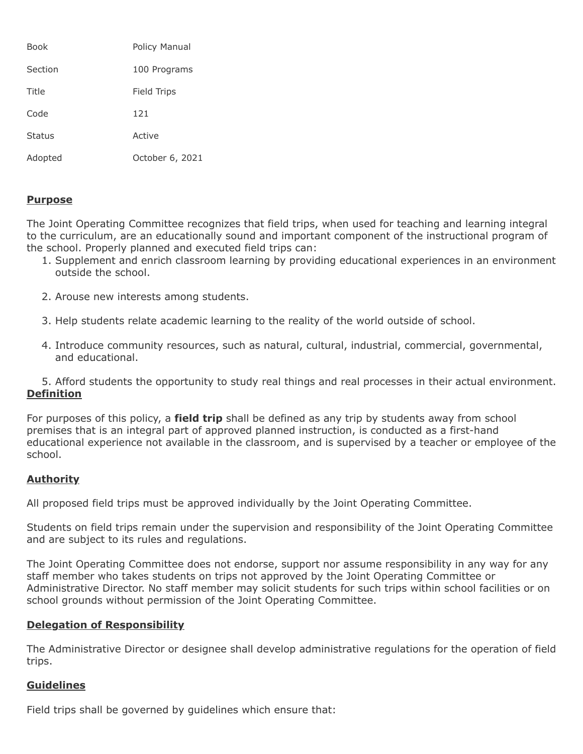| Book          | Policy Manual   |
|---------------|-----------------|
| Section       | 100 Programs    |
| Title         | Field Trips     |
| Code          | 121             |
| <b>Status</b> | Active          |
| Adopted       | October 6, 2021 |

# **Purpose**

The Joint Operating Committee recognizes that field trips, when used for teaching and learning integral to the curriculum, are an educationally sound and important component of the instructional program of the school. Properly planned and executed field trips can:

- 1. Supplement and enrich classroom learning by providing educational experiences in an environment outside the school.
- 2. Arouse new interests among students.
- 3. Help students relate academic learning to the reality of the world outside of school.
- 4. Introduce community resources, such as natural, cultural, industrial, commercial, governmental, and educational.

5. Afford students the opportunity to study real things and real processes in their actual environment. **Definition**

For purposes of this policy, a **field trip** shall be defined as any trip by students away from school premises that is an integral part of approved planned instruction, is conducted as a first-hand educational experience not available in the classroom, and is supervised by a teacher or employee of the school.

## **Authority**

All proposed field trips must be approved individually by the Joint Operating Committee.

Students on field trips remain under the supervision and responsibility of the Joint Operating Committee and are subject to its rules and regulations.

The Joint Operating Committee does not endorse, support nor assume responsibility in any way for any staff member who takes students on trips not approved by the Joint Operating Committee or Administrative Director. No staff member may solicit students for such trips within school facilities or on school grounds without permission of the Joint Operating Committee.

## **Delegation of Responsibility**

The Administrative Director or designee shall develop administrative regulations for the operation of field trips.

## **Guidelines**

Field trips shall be governed by guidelines which ensure that: